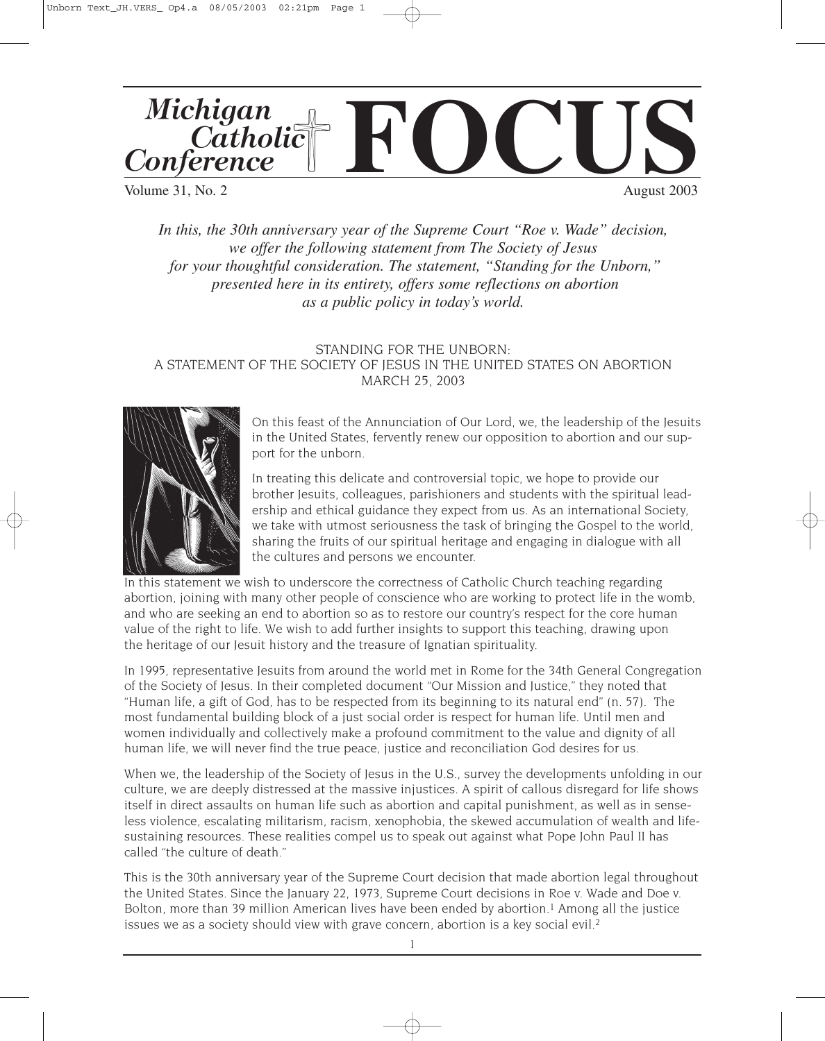

*In this, the 30th anniversary year of the Supreme Court "Roe v. Wade" decision, we offer the following statement from The Society of Jesus for your thoughtful consideration. The statement, "Standing for the Unborn," presented here in its entirety, offers some reflections on abortion as a public policy in today's world.*

#### STANDING FOR THE UNBORN: A STATEMENT OF THE SOCIETY OF JESUS IN THE UNITED STATES ON ABORTION MARCH 25, 2003



On this feast of the Annunciation of Our Lord, we, the leadership of the Jesuits in the United States, fervently renew our opposition to abortion and our support for the unborn.

In treating this delicate and controversial topic, we hope to provide our brother Jesuits, colleagues, parishioners and students with the spiritual leadership and ethical guidance they expect from us. As an international Society, we take with utmost seriousness the task of bringing the Gospel to the world, sharing the fruits of our spiritual heritage and engaging in dialogue with all the cultures and persons we encounter.

In this statement we wish to underscore the correctness of Catholic Church teaching regarding abortion, joining with many other people of conscience who are working to protect life in the womb, and who are seeking an end to abortion so as to restore our country's respect for the core human value of the right to life. We wish to add further insights to support this teaching, drawing upon the heritage of our Jesuit history and the treasure of Ignatian spirituality.

In 1995, representative Jesuits from around the world met in Rome for the 34th General Congregation of the Society of Jesus. In their completed document "Our Mission and Justice," they noted that "Human life, a gift of God, has to be respected from its beginning to its natural end" (n. 57). The most fundamental building block of a just social order is respect for human life. Until men and women individually and collectively make a profound commitment to the value and dignity of all human life, we will never find the true peace, justice and reconciliation God desires for us.

When we, the leadership of the Society of Jesus in the U.S., survey the developments unfolding in our culture, we are deeply distressed at the massive injustices. A spirit of callous disregard for life shows itself in direct assaults on human life such as abortion and capital punishment, as well as in senseless violence, escalating militarism, racism, xenophobia, the skewed accumulation of wealth and lifesustaining resources. These realities compel us to speak out against what Pope John Paul II has called "the culture of death."

This is the 30th anniversary year of the Supreme Court decision that made abortion legal throughout the United States. Since the January 22, 1973, Supreme Court decisions in Roe v. Wade and Doe v. Bolton, more than 39 million American lives have been ended by abortion.<sup>1</sup> Among all the justice issues we as a society should view with grave concern, abortion is a key social evil.<sup>2</sup>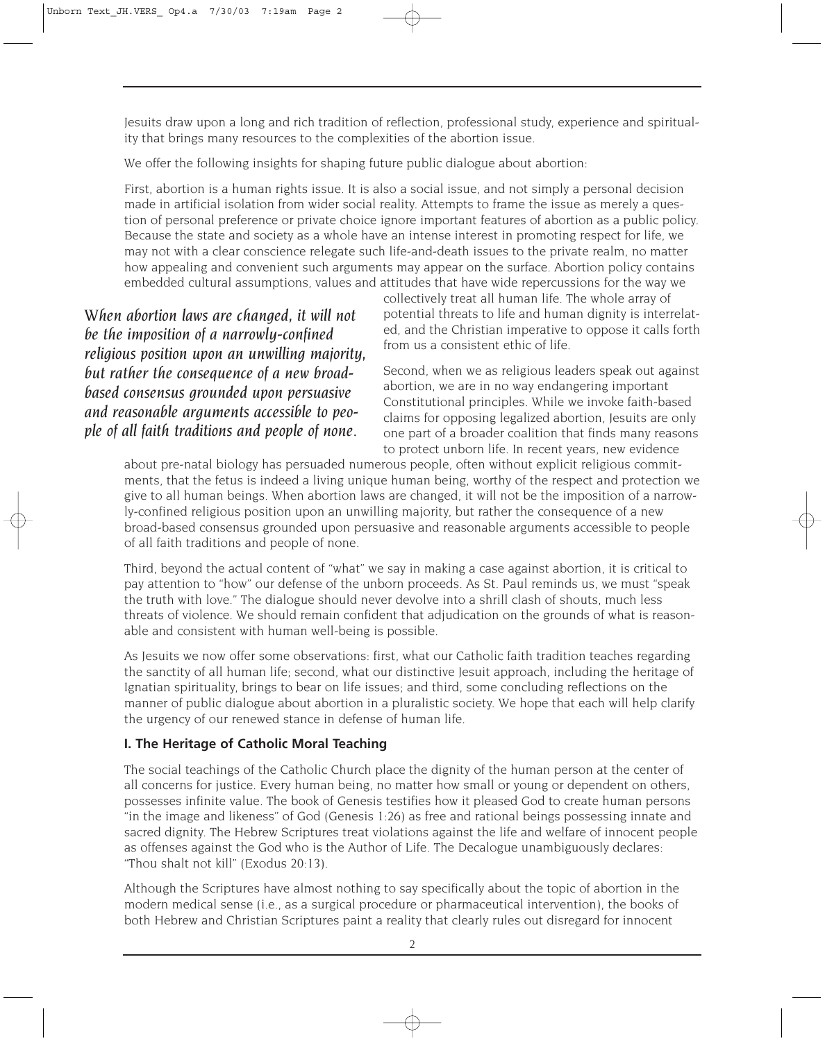Jesuits draw upon a long and rich tradition of reflection, professional study, experience and spirituality that brings many resources to the complexities of the abortion issue.

We offer the following insights for shaping future public dialogue about abortion:

First, abortion is a human rights issue. It is also a social issue, and not simply a personal decision made in artificial isolation from wider social reality. Attempts to frame the issue as merely a question of personal preference or private choice ignore important features of abortion as a public policy. Because the state and society as a whole have an intense interest in promoting respect for life, we may not with a clear conscience relegate such life-and-death issues to the private realm, no matter how appealing and convenient such arguments may appear on the surface. Abortion policy contains embedded cultural assumptions, values and attitudes that have wide repercussions for the way we

*When abortion laws are changed, it will not be the imposition of a narrowly-confined religious position upon an unwilling majority, but rather the consequence of a new broadbased consensus grounded upon persuasive and reasonable arguments accessible to people of all faith traditions and people of none.*

collectively treat all human life. The whole array of potential threats to life and human dignity is interrelated, and the Christian imperative to oppose it calls forth from us a consistent ethic of life.

Second, when we as religious leaders speak out against abortion, we are in no way endangering important Constitutional principles. While we invoke faith-based claims for opposing legalized abortion, Jesuits are only one part of a broader coalition that finds many reasons to protect unborn life. In recent years, new evidence

about pre-natal biology has persuaded numerous people, often without explicit religious commitments, that the fetus is indeed a living unique human being, worthy of the respect and protection we give to all human beings. When abortion laws are changed, it will not be the imposition of a narrowly-confined religious position upon an unwilling majority, but rather the consequence of a new broad-based consensus grounded upon persuasive and reasonable arguments accessible to people of all faith traditions and people of none.

Third, beyond the actual content of "what" we say in making a case against abortion, it is critical to pay attention to "how" our defense of the unborn proceeds. As St. Paul reminds us, we must "speak the truth with love." The dialogue should never devolve into a shrill clash of shouts, much less threats of violence. We should remain confident that adjudication on the grounds of what is reasonable and consistent with human well-being is possible.

As Jesuits we now offer some observations: first, what our Catholic faith tradition teaches regarding the sanctity of all human life; second, what our distinctive Jesuit approach, including the heritage of Ignatian spirituality, brings to bear on life issues; and third, some concluding reflections on the manner of public dialogue about abortion in a pluralistic society. We hope that each will help clarify the urgency of our renewed stance in defense of human life.

### **I. The Heritage of Catholic Moral Teaching**

The social teachings of the Catholic Church place the dignity of the human person at the center of all concerns for justice. Every human being, no matter how small or young or dependent on others, possesses infinite value. The book of Genesis testifies how it pleased God to create human persons "in the image and likeness" of God (Genesis 1:26) as free and rational beings possessing innate and sacred dignity. The Hebrew Scriptures treat violations against the life and welfare of innocent people as offenses against the God who is the Author of Life. The Decalogue unambiguously declares: "Thou shalt not kill" (Exodus 20:13).

Although the Scriptures have almost nothing to say specifically about the topic of abortion in the modern medical sense (i.e., as a surgical procedure or pharmaceutical intervention), the books of both Hebrew and Christian Scriptures paint a reality that clearly rules out disregard for innocent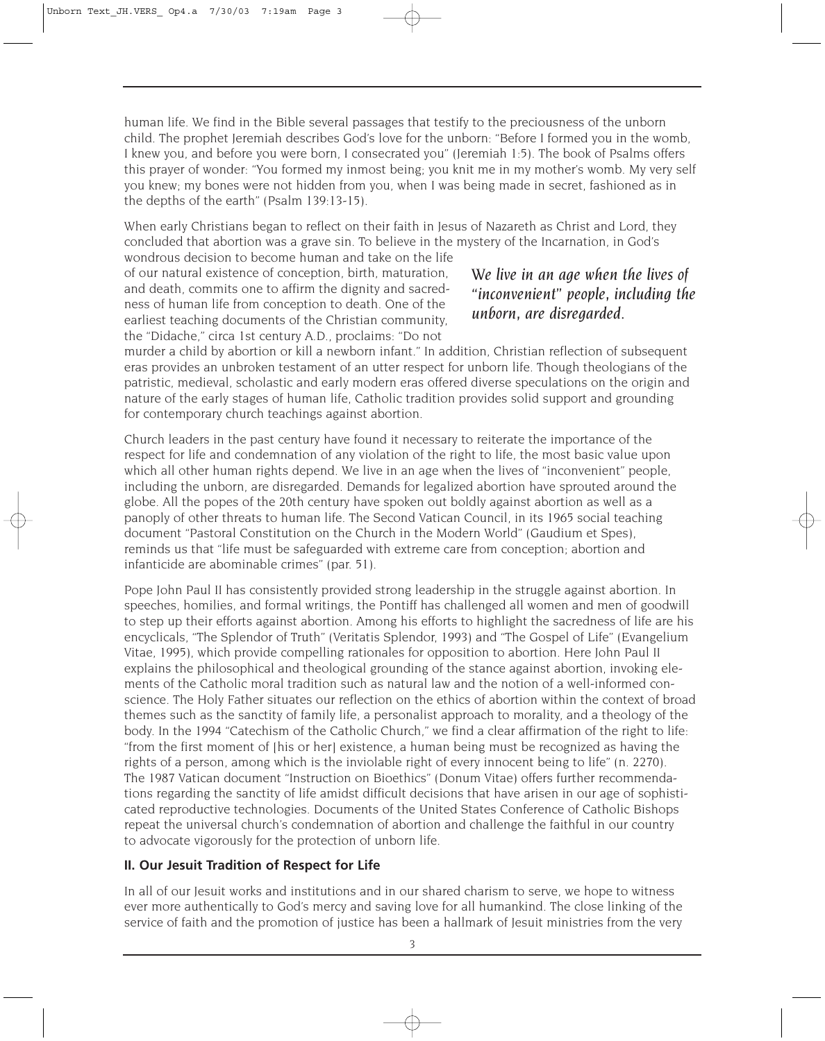human life. We find in the Bible several passages that testify to the preciousness of the unborn child. The prophet Jeremiah describes God's love for the unborn: "Before I formed you in the womb, I knew you, and before you were born, I consecrated you" (Jeremiah 1:5). The book of Psalms offers this prayer of wonder: "You formed my inmost being; you knit me in my mother's womb. My very self you knew; my bones were not hidden from you, when I was being made in secret, fashioned as in the depths of the earth" (Psalm 139:13-15).

When early Christians began to reflect on their faith in Jesus of Nazareth as Christ and Lord, they concluded that abortion was a grave sin. To believe in the mystery of the Incarnation, in God's

wondrous decision to become human and take on the life of our natural existence of conception, birth, maturation, and death, commits one to affirm the dignity and sacredness of human life from conception to death. One of the earliest teaching documents of the Christian community, the "Didache," circa 1st century A.D., proclaims: "Do not

## *We live in an age when the lives of "inconvenient" people, including the unborn, are disregarded.*

murder a child by abortion or kill a newborn infant." In addition, Christian reflection of subsequent eras provides an unbroken testament of an utter respect for unborn life. Though theologians of the patristic, medieval, scholastic and early modern eras offered diverse speculations on the origin and nature of the early stages of human life, Catholic tradition provides solid support and grounding for contemporary church teachings against abortion.

Church leaders in the past century have found it necessary to reiterate the importance of the respect for life and condemnation of any violation of the right to life, the most basic value upon which all other human rights depend. We live in an age when the lives of "inconvenient" people, including the unborn, are disregarded. Demands for legalized abortion have sprouted around the globe. All the popes of the 20th century have spoken out boldly against abortion as well as a panoply of other threats to human life. The Second Vatican Council, in its 1965 social teaching document "Pastoral Constitution on the Church in the Modern World" (Gaudium et Spes), reminds us that "life must be safeguarded with extreme care from conception; abortion and infanticide are abominable crimes" (par. 51).

Pope John Paul II has consistently provided strong leadership in the struggle against abortion. In speeches, homilies, and formal writings, the Pontiff has challenged all women and men of goodwill to step up their efforts against abortion. Among his efforts to highlight the sacredness of life are his encyclicals, "The Splendor of Truth" (Veritatis Splendor, 1993) and "The Gospel of Life" (Evangelium Vitae, 1995), which provide compelling rationales for opposition to abortion. Here John Paul II explains the philosophical and theological grounding of the stance against abortion, invoking elements of the Catholic moral tradition such as natural law and the notion of a well-informed conscience. The Holy Father situates our reflection on the ethics of abortion within the context of broad themes such as the sanctity of family life, a personalist approach to morality, and a theology of the body. In the 1994 "Catechism of the Catholic Church," we find a clear affirmation of the right to life: "from the first moment of [his or her] existence, a human being must be recognized as having the rights of a person, among which is the inviolable right of every innocent being to life" (n. 2270). The 1987 Vatican document "Instruction on Bioethics" (Donum Vitae) offers further recommendations regarding the sanctity of life amidst difficult decisions that have arisen in our age of sophisticated reproductive technologies. Documents of the United States Conference of Catholic Bishops repeat the universal church's condemnation of abortion and challenge the faithful in our country to advocate vigorously for the protection of unborn life.

#### **II. Our Jesuit Tradition of Respect for Life**

In all of our Jesuit works and institutions and in our shared charism to serve, we hope to witness ever more authentically to God's mercy and saving love for all humankind. The close linking of the service of faith and the promotion of justice has been a hallmark of Jesuit ministries from the very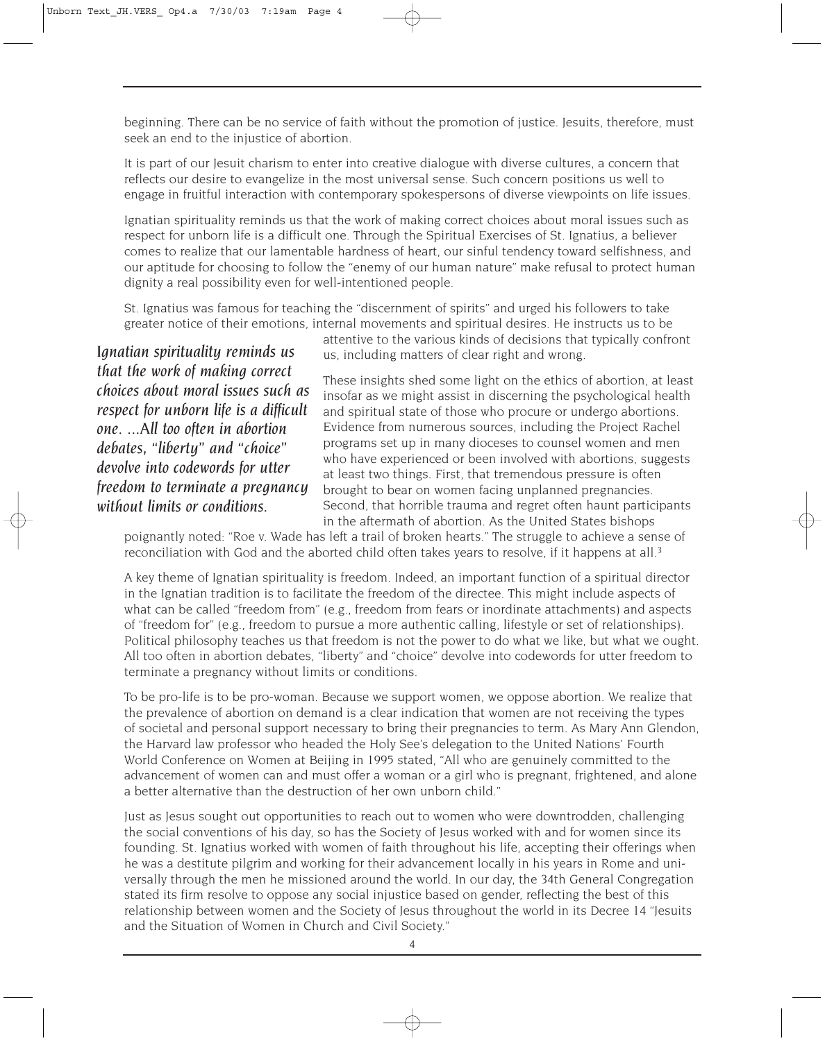beginning. There can be no service of faith without the promotion of justice. Jesuits, therefore, must seek an end to the injustice of abortion.

It is part of our Jesuit charism to enter into creative dialogue with diverse cultures, a concern that reflects our desire to evangelize in the most universal sense. Such concern positions us well to engage in fruitful interaction with contemporary spokespersons of diverse viewpoints on life issues.

Ignatian spirituality reminds us that the work of making correct choices about moral issues such as respect for unborn life is a difficult one. Through the Spiritual Exercises of St. Ignatius, a believer comes to realize that our lamentable hardness of heart, our sinful tendency toward selfishness, and our aptitude for choosing to follow the "enemy of our human nature" make refusal to protect human dignity a real possibility even for well-intentioned people.

St. Ignatius was famous for teaching the "discernment of spirits" and urged his followers to take greater notice of their emotions, internal movements and spiritual desires. He instructs us to be

*Ignatian spirituality reminds us that the work of making correct choices about moral issues such as respect for unborn life is a difficult one. ...All too often in abortion debates, "liberty" and "choice" devolve into codewords for utter freedom to terminate a pregnancy without limits or conditions.*

attentive to the various kinds of decisions that typically confront us, including matters of clear right and wrong.

These insights shed some light on the ethics of abortion, at least insofar as we might assist in discerning the psychological health and spiritual state of those who procure or undergo abortions. Evidence from numerous sources, including the Project Rachel programs set up in many dioceses to counsel women and men who have experienced or been involved with abortions, suggests at least two things. First, that tremendous pressure is often brought to bear on women facing unplanned pregnancies. Second, that horrible trauma and regret often haunt participants in the aftermath of abortion. As the United States bishops

poignantly noted: "Roe v. Wade has left a trail of broken hearts." The struggle to achieve a sense of reconciliation with God and the aborted child often takes years to resolve, if it happens at all.<sup>3</sup>

A key theme of Ignatian spirituality is freedom. Indeed, an important function of a spiritual director in the Ignatian tradition is to facilitate the freedom of the directee. This might include aspects of what can be called "freedom from" (e.g., freedom from fears or inordinate attachments) and aspects of "freedom for" (e.g., freedom to pursue a more authentic calling, lifestyle or set of relationships). Political philosophy teaches us that freedom is not the power to do what we like, but what we ought. All too often in abortion debates, "liberty" and "choice" devolve into codewords for utter freedom to terminate a pregnancy without limits or conditions.

To be pro-life is to be pro-woman. Because we support women, we oppose abortion. We realize that the prevalence of abortion on demand is a clear indication that women are not receiving the types of societal and personal support necessary to bring their pregnancies to term. As Mary Ann Glendon, the Harvard law professor who headed the Holy See's delegation to the United Nations' Fourth World Conference on Women at Beijing in 1995 stated, "All who are genuinely committed to the advancement of women can and must offer a woman or a girl who is pregnant, frightened, and alone a better alternative than the destruction of her own unborn child."

Just as Jesus sought out opportunities to reach out to women who were downtrodden, challenging the social conventions of his day, so has the Society of Jesus worked with and for women since its founding. St. Ignatius worked with women of faith throughout his life, accepting their offerings when he was a destitute pilgrim and working for their advancement locally in his years in Rome and universally through the men he missioned around the world. In our day, the 34th General Congregation stated its firm resolve to oppose any social injustice based on gender, reflecting the best of this relationship between women and the Society of Jesus throughout the world in its Decree 14 "Jesuits and the Situation of Women in Church and Civil Society."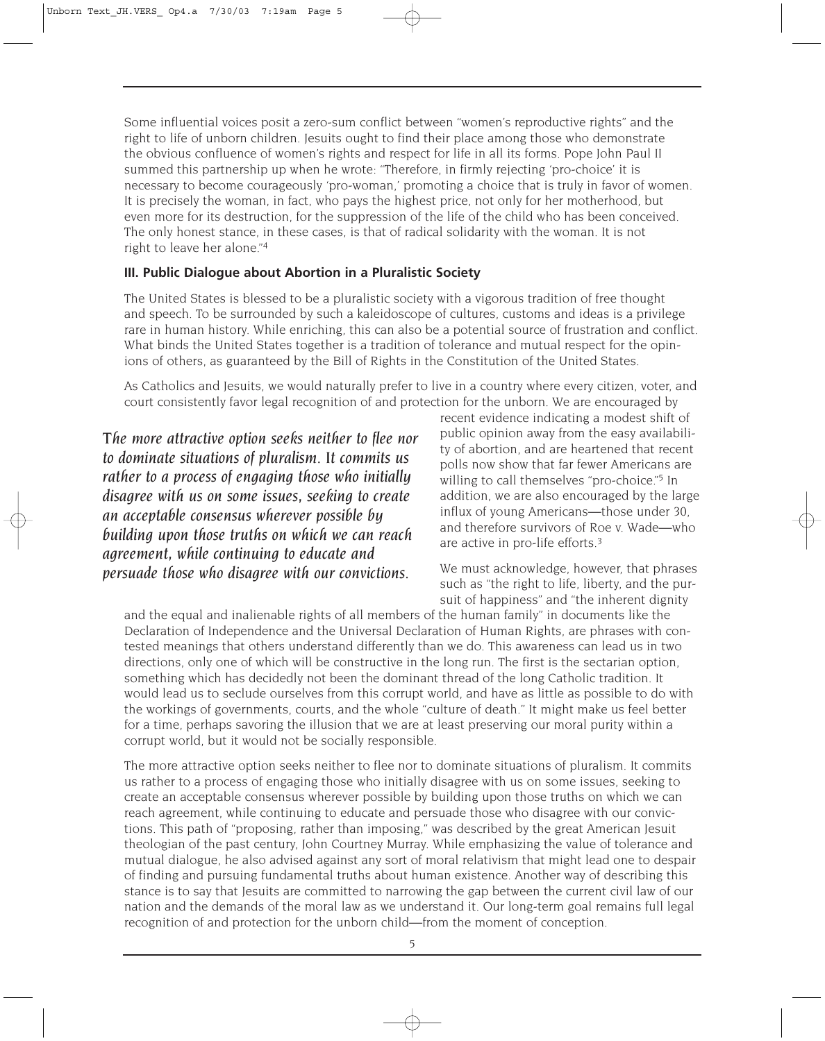Some influential voices posit a zero-sum conflict between "women's reproductive rights" and the right to life of unborn children. Jesuits ought to find their place among those who demonstrate the obvious confluence of women's rights and respect for life in all its forms. Pope John Paul II summed this partnership up when he wrote: "Therefore, in firmly rejecting 'pro-choice' it is necessary to become courageously 'pro-woman,' promoting a choice that is truly in favor of women. It is precisely the woman, in fact, who pays the highest price, not only for her motherhood, but even more for its destruction, for the suppression of the life of the child who has been conceived. The only honest stance, in these cases, is that of radical solidarity with the woman. It is not right to leave her alone."4

#### **III. Public Dialogue about Abortion in a Pluralistic Society**

The United States is blessed to be a pluralistic society with a vigorous tradition of free thought and speech. To be surrounded by such a kaleidoscope of cultures, customs and ideas is a privilege rare in human history. While enriching, this can also be a potential source of frustration and conflict. What binds the United States together is a tradition of tolerance and mutual respect for the opinions of others, as guaranteed by the Bill of Rights in the Constitution of the United States.

As Catholics and Jesuits, we would naturally prefer to live in a country where every citizen, voter, and court consistently favor legal recognition of and protection for the unborn. We are encouraged by

*The more attractive option seeks neither to flee nor to dominate situations of pluralism. It commits us rather to a process of engaging those who initially disagree with us on some issues, seeking to create an acceptable consensus wherever possible by building upon those truths on which we can reach agreement, while continuing to educate and persuade those who disagree with our convictions.* 

recent evidence indicating a modest shift of public opinion away from the easy availability of abortion, and are heartened that recent polls now show that far fewer Americans are willing to call themselves "pro-choice."<sup>5</sup> In addition, we are also encouraged by the large influx of young Americans—those under 30, and therefore survivors of Roe v. Wade—who are active in pro-life efforts.3

We must acknowledge, however, that phrases such as "the right to life, liberty, and the pursuit of happiness" and "the inherent dignity

and the equal and inalienable rights of all members of the human family" in documents like the Declaration of Independence and the Universal Declaration of Human Rights, are phrases with contested meanings that others understand differently than we do. This awareness can lead us in two directions, only one of which will be constructive in the long run. The first is the sectarian option, something which has decidedly not been the dominant thread of the long Catholic tradition. It would lead us to seclude ourselves from this corrupt world, and have as little as possible to do with the workings of governments, courts, and the whole "culture of death." It might make us feel better for a time, perhaps savoring the illusion that we are at least preserving our moral purity within a corrupt world, but it would not be socially responsible.

The more attractive option seeks neither to flee nor to dominate situations of pluralism. It commits us rather to a process of engaging those who initially disagree with us on some issues, seeking to create an acceptable consensus wherever possible by building upon those truths on which we can reach agreement, while continuing to educate and persuade those who disagree with our convictions. This path of "proposing, rather than imposing," was described by the great American Jesuit theologian of the past century, John Courtney Murray. While emphasizing the value of tolerance and mutual dialogue, he also advised against any sort of moral relativism that might lead one to despair of finding and pursuing fundamental truths about human existence. Another way of describing this stance is to say that Jesuits are committed to narrowing the gap between the current civil law of our nation and the demands of the moral law as we understand it. Our long-term goal remains full legal recognition of and protection for the unborn child—from the moment of conception.